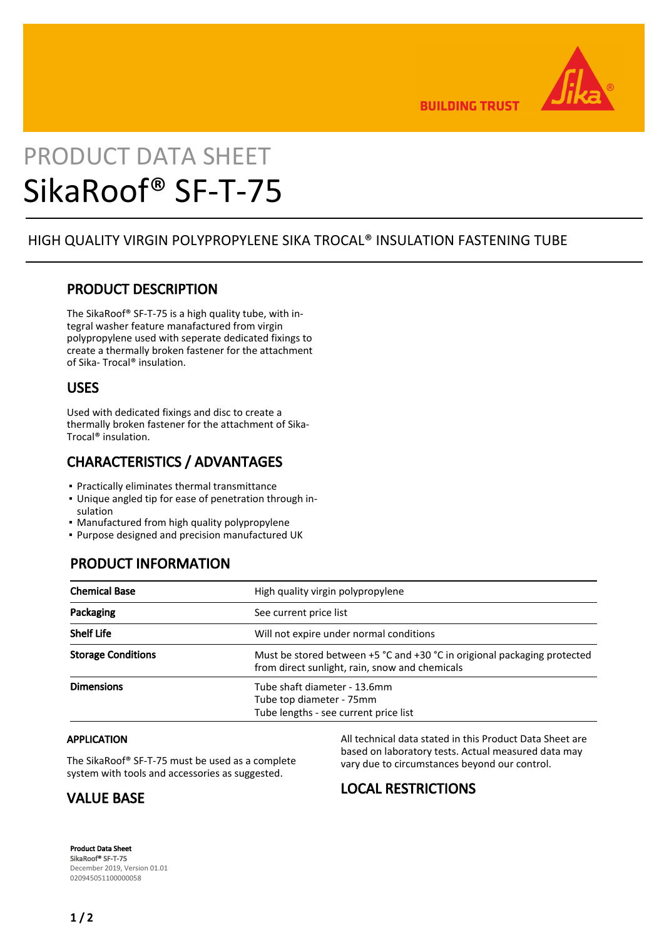

**BUILDING TRUST** 

# PRODUCT DATA SHEET SikaRoof® SF-T-75

## HIGH QUALITY VIRGIN POLYPROPYLENE SIKA TROCAL® INSULATION FASTENING TUBE

#### PRODUCT DESCRIPTION

The SikaRoof® SF-T-75 is a high quality tube, with integral washer feature manafactured from virgin polypropylene used with seperate dedicated fixings to create a thermally broken fastener for the attachment of Sika- Trocal® insulation.

#### USES

Used with dedicated fixings and disc to create a thermally broken fastener for the attachment of Sika-Trocal® insulation.

## CHARACTERISTICS / ADVANTAGES

- Practically eliminates thermal transmittance
- Unique angled tip for ease of penetration through in-▪ sulation
- **Manufactured from high quality polypropylene**
- Purpose designed and precision manufactured UK

## PRODUCT INFORMATION

| <b>Chemical Base</b>      | High quality virgin polypropylene                                                                                          |
|---------------------------|----------------------------------------------------------------------------------------------------------------------------|
| Packaging                 | See current price list                                                                                                     |
| <b>Shelf Life</b>         | Will not expire under normal conditions                                                                                    |
| <b>Storage Conditions</b> | Must be stored between +5 °C and +30 °C in origional packaging protected<br>from direct sunlight, rain, snow and chemicals |
| <b>Dimensions</b>         | Tube shaft diameter - 13.6mm<br>Tube top diameter - 75mm<br>Tube lengths - see current price list                          |

#### APPLICATION

The SikaRoof® SF-T-75 must be used as a complete system with tools and accessories as suggested.

# VALUE BASE

All technical data stated in this Product Data Sheet are based on laboratory tests. Actual measured data may vary due to circumstances beyond our control.

# LOCAL RESTRICTIONS

Product Data Sheet SikaRoof® SF-T-75 December 2019, Version 01.01 020945051100000058